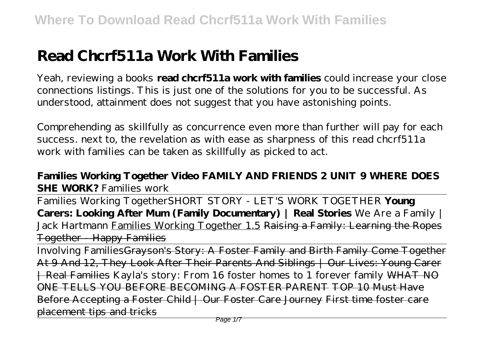# **Read Chcrf511a Work With Families**

Yeah, reviewing a books **read chcrf511a work with families** could increase your close connections listings. This is just one of the solutions for you to be successful. As understood, attainment does not suggest that you have astonishing points.

Comprehending as skillfully as concurrence even more than further will pay for each success. next to, the revelation as with ease as sharpness of this read chcrf511a work with families can be taken as skillfully as picked to act.

# **Families Working Together Video FAMILY AND FRIENDS 2 UNIT 9 WHERE DOES SHE WORK?** *Families work*

Families Working Together*SHORT STORY - LET'S WORK TOGETHER* **Young Carers: Looking After Mum (Family Documentary) | Real Stories** *We Are a Family | Jack Hartmann* Families Working Together 1.5 Raising a Family: Learning the Ropes Together - Happy Families

Involving FamiliesGrayson's Story: A Foster Family and Birth Family Come Together At 9 And 12, They Look After Their Parents And Siblings | Our Lives: Young Carer | Real Families Kayla's story: From 16 foster homes to 1 forever family WHAT NO ONE TELLS YOU BEFORE BECOMING A FOSTER PARENT TOP 10 Must Have Before Accepting a Foster Child | Our Foster Care Journey First time foster care placement tips and tricks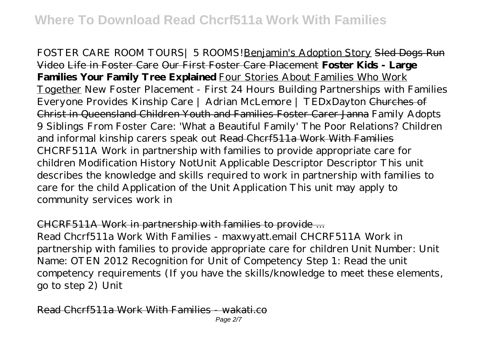FOSTER CARE ROOM TOURS| 5 ROOMS!Benjamin's Adoption Story Sled Dogs Run Video Life in Foster Care Our First Foster Care Placement **Foster Kids - Large Families Your Family Tree Explained** Four Stories About Families Who Work Together New Foster Placement - First 24 Hours *Building Partnerships with Families Everyone Provides Kinship Care | Adrian McLemore | TEDxDayton* Churches of Christ in Queensland Children Youth and Families Foster Carer Janna Family Adopts 9 Siblings From Foster Care: 'What a Beautiful Family' *The Poor Relations? Children and informal kinship carers speak out* Read Chcrf511a Work With Families CHCRF511A Work in partnership with families to provide appropriate care for children Modification History NotUnit Applicable Descriptor Descriptor This unit describes the knowledge and skills required to work in partnership with families to care for the child Application of the Unit Application This unit may apply to community services work in

#### CHCRF511A Work in partnership with families to provide ...

Read Chcrf511a Work With Families - maxwyatt.email CHCRF511A Work in partnership with families to provide appropriate care for children Unit Number: Unit Name: OTEN 2012 Recognition for Unit of Competency Step 1: Read the unit competency requirements (If you have the skills/knowledge to meet these elements, go to step 2) Unit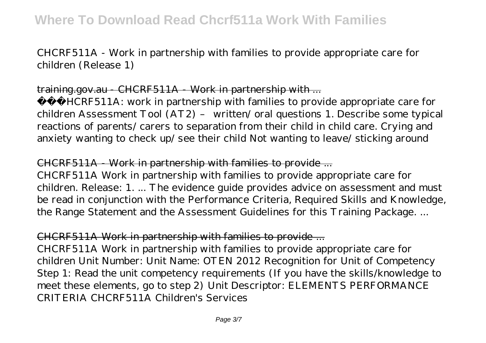CHCRF511A - Work in partnership with families to provide appropriate care for children (Release 1)

#### training.gov.au CHCRF511A Work in partnership with ...

 CHCRF511A: work in partnership with families to provide appropriate care for children Assessment Tool (AT2) – written/ oral questions 1. Describe some typical reactions of parents/ carers to separation from their child in child care. Crying and anxiety wanting to check up/ see their child Not wanting to leave/ sticking around

# CHCRF511A - Work in partnership with families to provide ...

CHCRF511A Work in partnership with families to provide appropriate care for children. Release: 1. ... The evidence guide provides advice on assessment and must be read in conjunction with the Performance Criteria, Required Skills and Knowledge, the Range Statement and the Assessment Guidelines for this Training Package. ...

# CHCRF511A Work in partnership with families to provide ...

CHCRF511A Work in partnership with families to provide appropriate care for children Unit Number: Unit Name: OTEN 2012 Recognition for Unit of Competency Step 1: Read the unit competency requirements (If you have the skills/knowledge to meet these elements, go to step 2) Unit Descriptor: ELEMENTS PERFORMANCE CRITERIA CHCRF511A Children's Services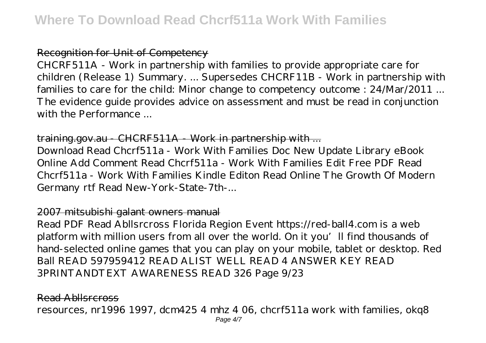#### Recognition for Unit of Competency

CHCRF511A - Work in partnership with families to provide appropriate care for children (Release 1) Summary. ... Supersedes CHCRF11B - Work in partnership with families to care for the child: Minor change to competency outcome : 24/Mar/2011 ... The evidence guide provides advice on assessment and must be read in conjunction with the Performance ...

#### training.gov.au CHCRF511A Work in partnership with ...

Download Read Chcrf511a - Work With Families Doc New Update Library eBook Online Add Comment Read Chcrf511a - Work With Families Edit Free PDF Read Chcrf511a - Work With Families Kindle Editon Read Online The Growth Of Modern Germany rtf Read New-York-State-7th-...

#### 2007 mitsubishi galant owners manual

Read PDF Read Abllsrcross Florida Region Event https://red-ball4.com is a web platform with million users from all over the world. On it you'll find thousands of hand-selected online games that you can play on your mobile, tablet or desktop. Red Ball READ 597959412 READ ALIST WELL READ 4 ANSWER KEY READ 3PRINTANDTEXT AWARENESS READ 326 Page 9/23

#### Read Abllsrcross

resources, nr1996 1997, dcm425 4 mhz 4 06, chcrf511a work with families, okq8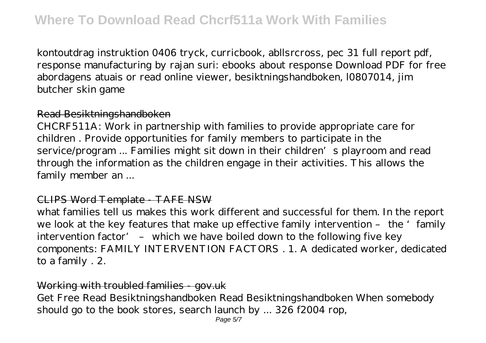kontoutdrag instruktion 0406 tryck, curricbook, abllsrcross, pec 31 full report pdf, response manufacturing by rajan suri: ebooks about response Download PDF for free abordagens atuais or read online viewer, besiktningshandboken, l0807014, jim butcher skin game

#### Read Besiktningshandboken

CHCRF511A: Work in partnership with families to provide appropriate care for children . Provide opportunities for family members to participate in the service/program ... Families might sit down in their children's playroom and read through the information as the children engage in their activities. This allows the family member an ...

#### CLIPS Word Template - TAFE NSW

what families tell us makes this work different and successful for them. In the report we look at the key features that make up effective family intervention - the 'family intervention factor' – which we have boiled down to the following five key components: FAMILY INTERVENTION FACTORS . 1. A dedicated worker, dedicated to a family . 2.

#### Working with troubled families - gov.uk

Get Free Read Besiktningshandboken Read Besiktningshandboken When somebody should go to the book stores, search launch by ... 326 f2004 rop,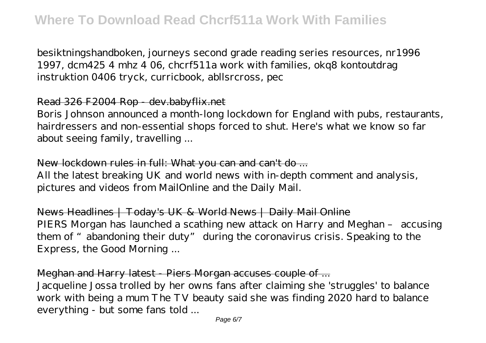besiktningshandboken, journeys second grade reading series resources, nr1996 1997, dcm425 4 mhz 4 06, chcrf511a work with families, okq8 kontoutdrag instruktion 0406 tryck, curricbook, abllsrcross, pec

#### Read 326 F2004 Rop - dev.babyflix.net

Boris Johnson announced a month-long lockdown for England with pubs, restaurants, hairdressers and non-essential shops forced to shut. Here's what we know so far about seeing family, travelling ...

### New lockdown rules in full: What you can and can't do ...

All the latest breaking UK and world news with in-depth comment and analysis, pictures and videos from MailOnline and the Daily Mail.

News Headlines | Today's UK & World News | Daily Mail Online PIERS Morgan has launched a scathing new attack on Harry and Meghan – accusing them of "abandoning their duty" during the coronavirus crisis. Speaking to the Express, the Good Morning ...

## Meghan and Harry latest - Piers Morgan accuses couple of ...

Jacqueline Jossa trolled by her owns fans after claiming she 'struggles' to balance work with being a mum The TV beauty said she was finding 2020 hard to balance everything - but some fans told ...